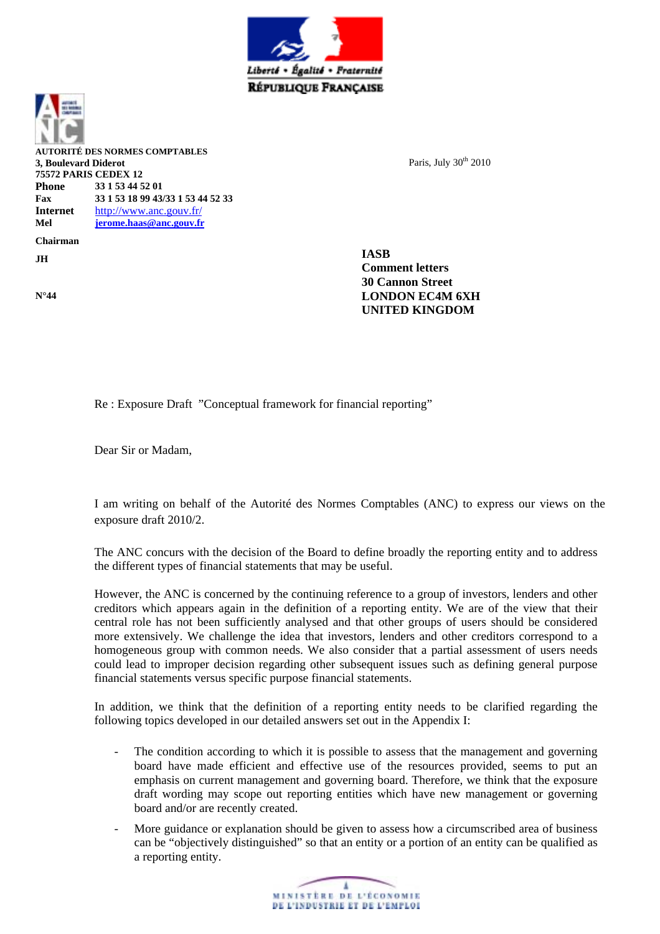



**N°44**

**AUTORITÉ DES NORMES COMPTABLES 3, Boulevard Diderot 75572 PARIS CEDEX 12 Phone 33 1 53 44 52 01 Fax 33 1 53 18 99 43/33 1 53 44 52 33 Internet** <http://www.anc.gouv.fr/> **Mel [jerome.haas@anc.gouv.fr](mailto:jerome.haas@anc.gouv.fr) Chairman JH**

Paris, July  $30<sup>th</sup> 2010$ 

**IASB Comment letters 30 Cannon Street LONDON EC4M 6XH UNITED KINGDOM** 

Re : Exposure Draft "Conceptual framework for financial reporting"

Dear Sir or Madam,

I am writing on behalf of the Autorité des Normes Comptables (ANC) to express our views on the exposure draft 2010/2.

The ANC concurs with the decision of the Board to define broadly the reporting entity and to address the different types of financial statements that may be useful.

However, the ANC is concerned by the continuing reference to a group of investors, lenders and other creditors which appears again in the definition of a reporting entity. We are of the view that their central role has not been sufficiently analysed and that other groups of users should be considered more extensively. We challenge the idea that investors, lenders and other creditors correspond to a homogeneous group with common needs. We also consider that a partial assessment of users needs could lead to improper decision regarding other subsequent issues such as defining general purpose financial statements versus specific purpose financial statements.

In addition, we think that the definition of a reporting entity needs to be clarified regarding the following topics developed in our detailed answers set out in the Appendix I:

- The condition according to which it is possible to assess that the management and governing board have made efficient and effective use of the resources provided, seems to put an emphasis on current management and governing board. Therefore, we think that the exposure draft wording may scope out reporting entities which have new management or governing board and/or are recently created.
- More guidance or explanation should be given to assess how a circumscribed area of business can be "objectively distinguished" so that an entity or a portion of an entity can be qualified as a reporting entity.

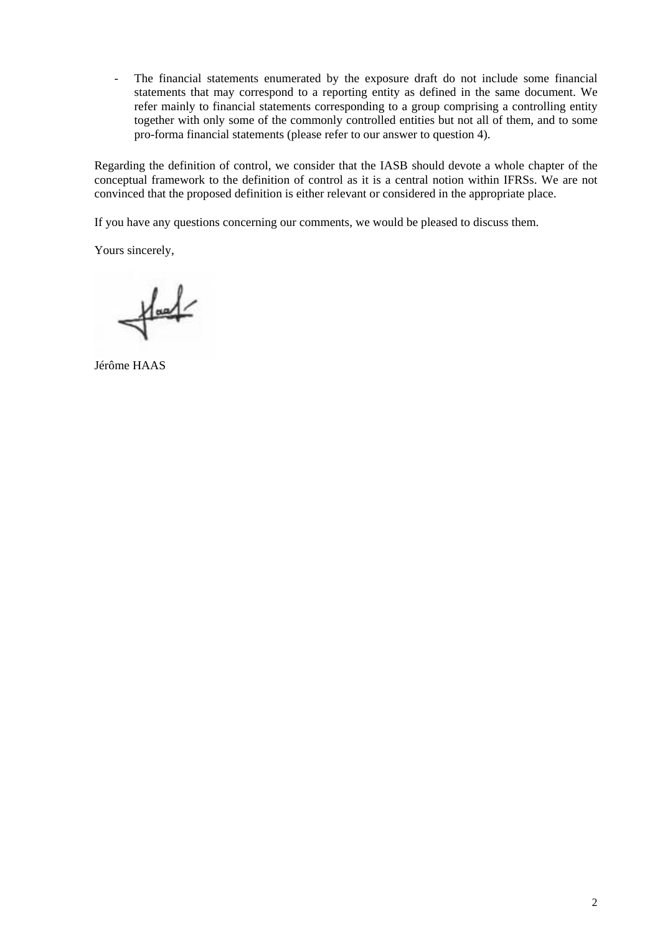- The financial statements enumerated by the exposure draft do not include some financial statements that may correspond to a reporting entity as defined in the same document. We refer mainly to financial statements corresponding to a group comprising a controlling entity together with only some of the commonly controlled entities but not all of them, and to some pro-forma financial statements (please refer to our answer to question 4).

Regarding the definition of control, we consider that the IASB should devote a whole chapter of the conceptual framework to the definition of control as it is a central notion within IFRSs. We are not convinced that the proposed definition is either relevant or considered in the appropriate place.

If you have any questions concerning our comments, we would be pleased to discuss them.

Yours sincerely,

 $H =$ 

Jérôme HAAS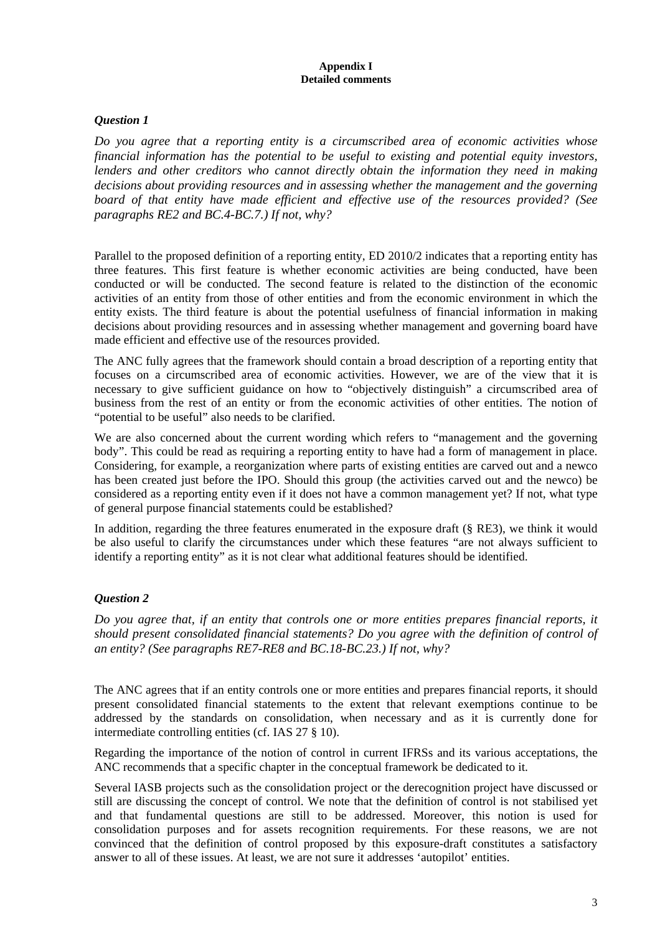#### **Appendix I Detailed comments**

## *Question 1*

*Do you agree that a reporting entity is a circumscribed area of economic activities whose financial information has the potential to be useful to existing and potential equity investors, lenders and other creditors who cannot directly obtain the information they need in making decisions about providing resources and in assessing whether the management and the governing board of that entity have made efficient and effective use of the resources provided? (See paragraphs RE2 and BC.4-BC.7.) If not, why?* 

Parallel to the proposed definition of a reporting entity, ED 2010/2 indicates that a reporting entity has three features. This first feature is whether economic activities are being conducted, have been conducted or will be conducted. The second feature is related to the distinction of the economic activities of an entity from those of other entities and from the economic environment in which the entity exists. The third feature is about the potential usefulness of financial information in making decisions about providing resources and in assessing whether management and governing board have made efficient and effective use of the resources provided.

The ANC fully agrees that the framework should contain a broad description of a reporting entity that focuses on a circumscribed area of economic activities. However, we are of the view that it is necessary to give sufficient guidance on how to "objectively distinguish" a circumscribed area of business from the rest of an entity or from the economic activities of other entities. The notion of "potential to be useful" also needs to be clarified.

We are also concerned about the current wording which refers to "management and the governing body". This could be read as requiring a reporting entity to have had a form of management in place. Considering, for example, a reorganization where parts of existing entities are carved out and a newco has been created just before the IPO. Should this group (the activities carved out and the newco) be considered as a reporting entity even if it does not have a common management yet? If not, what type of general purpose financial statements could be established?

In addition, regarding the three features enumerated in the exposure draft (§ RE3), we think it would be also useful to clarify the circumstances under which these features "are not always sufficient to identify a reporting entity" as it is not clear what additional features should be identified.

# *Question 2*

*Do you agree that, if an entity that controls one or more entities prepares financial reports, it should present consolidated financial statements? Do you agree with the definition of control of an entity? (See paragraphs RE7-RE8 and BC.18-BC.23.) If not, why?*

The ANC agrees that if an entity controls one or more entities and prepares financial reports, it should present consolidated financial statements to the extent that relevant exemptions continue to be addressed by the standards on consolidation, when necessary and as it is currently done for intermediate controlling entities (cf. IAS 27 § 10).

Regarding the importance of the notion of control in current IFRSs and its various acceptations, the ANC recommends that a specific chapter in the conceptual framework be dedicated to it.

Several IASB projects such as the consolidation project or the derecognition project have discussed or still are discussing the concept of control. We note that the definition of control is not stabilised yet and that fundamental questions are still to be addressed. Moreover, this notion is used for consolidation purposes and for assets recognition requirements. For these reasons, we are not convinced that the definition of control proposed by this exposure-draft constitutes a satisfactory answer to all of these issues. At least, we are not sure it addresses 'autopilot' entities.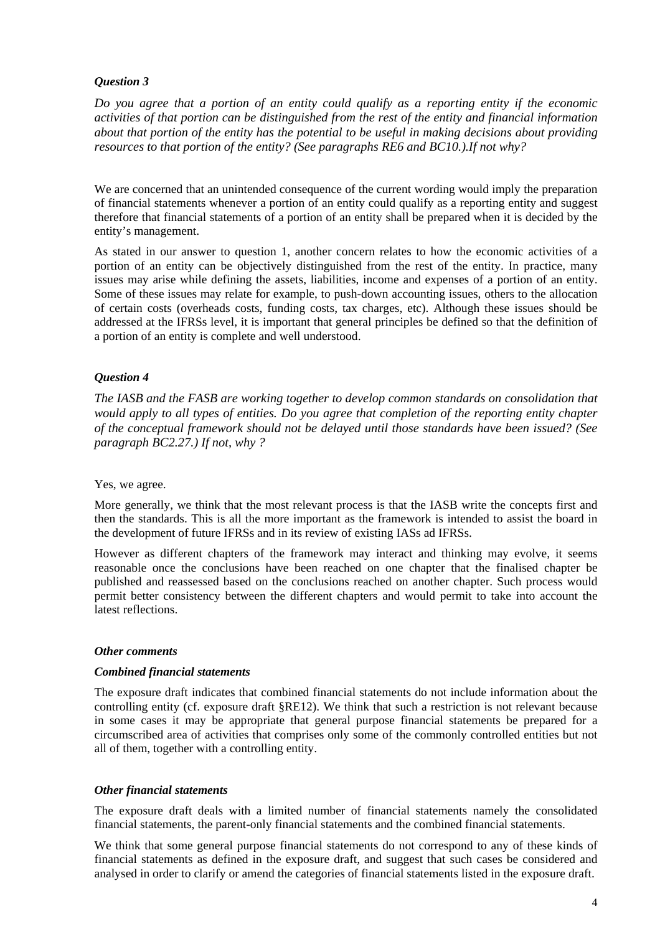## *Question 3*

*Do you agree that a portion of an entity could qualify as a reporting entity if the economic activities of that portion can be distinguished from the rest of the entity and financial information about that portion of the entity has the potential to be useful in making decisions about providing resources to that portion of the entity? (See paragraphs RE6 and BC10.).If not why?* 

We are concerned that an unintended consequence of the current wording would imply the preparation of financial statements whenever a portion of an entity could qualify as a reporting entity and suggest therefore that financial statements of a portion of an entity shall be prepared when it is decided by the entity's management.

As stated in our answer to question 1, another concern relates to how the economic activities of a portion of an entity can be objectively distinguished from the rest of the entity. In practice, many issues may arise while defining the assets, liabilities, income and expenses of a portion of an entity. Some of these issues may relate for example, to push-down accounting issues, others to the allocation of certain costs (overheads costs, funding costs, tax charges, etc). Although these issues should be addressed at the IFRSs level, it is important that general principles be defined so that the definition of a portion of an entity is complete and well understood.

## *Question 4*

*The IASB and the FASB are working together to develop common standards on consolidation that would apply to all types of entities. Do you agree that completion of the reporting entity chapter of the conceptual framework should not be delayed until those standards have been issued? (See paragraph BC2.27.) If not, why ?*

### Yes, we agree.

More generally, we think that the most relevant process is that the IASB write the concepts first and then the standards. This is all the more important as the framework is intended to assist the board in the development of future IFRSs and in its review of existing IASs ad IFRSs.

However as different chapters of the framework may interact and thinking may evolve, it seems reasonable once the conclusions have been reached on one chapter that the finalised chapter be published and reassessed based on the conclusions reached on another chapter. Such process would permit better consistency between the different chapters and would permit to take into account the latest reflections.

### *Other comments*

### *Combined financial statements*

The exposure draft indicates that combined financial statements do not include information about the controlling entity (cf. exposure draft §RE12). We think that such a restriction is not relevant because in some cases it may be appropriate that general purpose financial statements be prepared for a circumscribed area of activities that comprises only some of the commonly controlled entities but not all of them, together with a controlling entity.

### *Other financial statements*

The exposure draft deals with a limited number of financial statements namely the consolidated financial statements, the parent-only financial statements and the combined financial statements.

We think that some general purpose financial statements do not correspond to any of these kinds of financial statements as defined in the exposure draft, and suggest that such cases be considered and analysed in order to clarify or amend the categories of financial statements listed in the exposure draft.